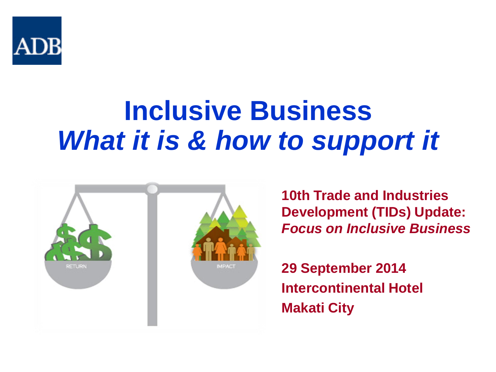

# **Inclusive Business**  *What it is & how to support it*



**10th Trade and Industries Development (TIDs) Update:**  *Focus on Inclusive Business*

**29 September 2014 Intercontinental Hotel Makati City**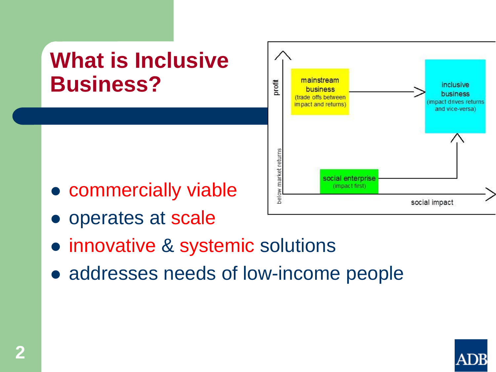

- innovative & systemic solutions
- addresses needs of low-income people



inclusive

business

impact drives returns

and vice-versa)

social impact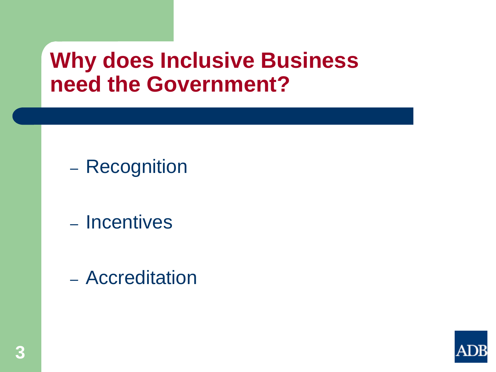### **Why does Inclusive Business need the Government?**

- Recognition
- Incentives
- Accreditation

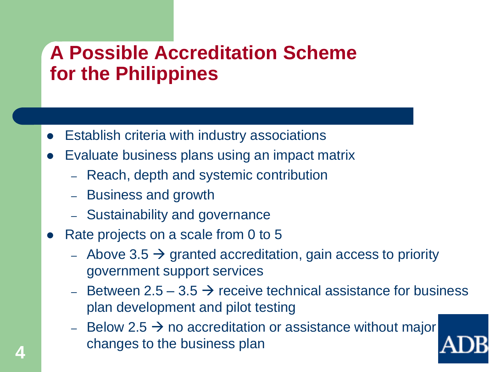### **A Possible Accreditation Scheme for the Philippines**

- Establish criteria with industry associations
- Evaluate business plans using an impact matrix
	- Reach, depth and systemic contribution
	- Business and growth
	- Sustainability and governance
- Rate projects on a scale from 0 to 5
	- Above 3.5  $\rightarrow$  granted accreditation, gain access to priority government support services
	- Between 2.5 3.5  $\rightarrow$  receive technical assistance for business plan development and pilot testing
	- Below 2.5  $\rightarrow$  no accreditation or assistance without major changes to the business plan

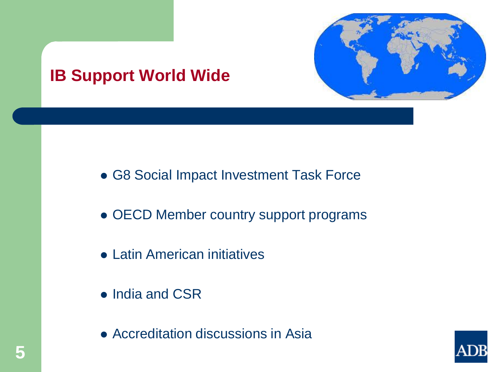

#### **[IB Support World Wide](http://www.google.com.ph/url?sa=i&rct=j&q=&esrc=s&frm=1&source=images&cd=&cad=rja&uact=8&docid=e7lcN6o7kvoeTM&tbnid=4toLzxn727EqXM:&ved=0CAcQjRw&url=http%3A%2F%2Fcombatarms.wikia.com%2Fwiki%2FFile%3AGlobe.svg&ei=3EYhVOb5LMHN8gWquIHwBg&bvm=bv.75775273,d.dGc&psig=AFQjCNFzvVbfWf0OfBLNaCJHvMhl2H-kYw&ust=1411553277305212)**

- G8 Social Impact Investment Task Force
- OECD Member country support programs
- Latin American initiatives
- India and CSR
- Accreditation discussions in Asia

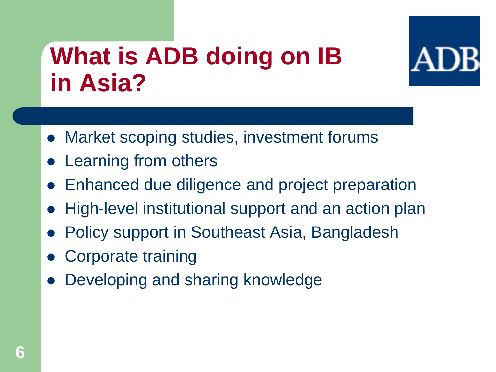## **What is ADB doing on IB in Asia?**



- Market scoping studies, investment forums
- Learning from others
- Enhanced due diligence and project preparation
- High-level institutional support and an action plan
- Policy support in Southeast Asia, Bangladesh
- Corporate training
- Developing and sharing knowledge